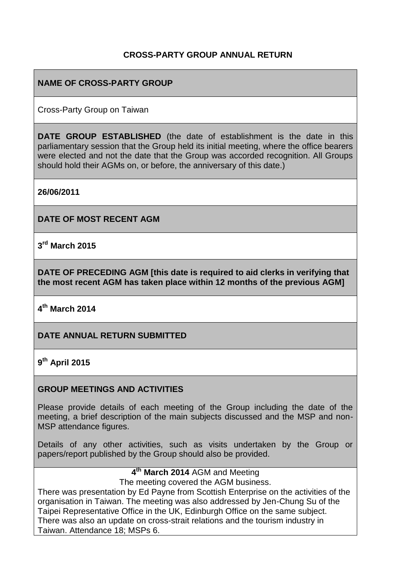## **CROSS-PARTY GROUP ANNUAL RETURN**

### **NAME OF CROSS-PARTY GROUP**

Cross-Party Group on Taiwan

**DATE GROUP ESTABLISHED** (the date of establishment is the date in this parliamentary session that the Group held its initial meeting, where the office bearers were elected and not the date that the Group was accorded recognition. All Groups should hold their AGMs on, or before, the anniversary of this date.)

**26/06/2011**

**DATE OF MOST RECENT AGM**

**3 rd March 2015**

**DATE OF PRECEDING AGM [this date is required to aid clerks in verifying that the most recent AGM has taken place within 12 months of the previous AGM]**

**4 th March 2014**

#### **DATE ANNUAL RETURN SUBMITTED**

#### **9 th April 2015**

#### **GROUP MEETINGS AND ACTIVITIES**

Please provide details of each meeting of the Group including the date of the meeting, a brief description of the main subjects discussed and the MSP and non-MSP attendance figures.

Details of any other activities, such as visits undertaken by the Group or papers/report published by the Group should also be provided.

# **4 th March 2014** AGM and Meeting

The meeting covered the AGM business.

There was presentation by Ed Payne from Scottish Enterprise on the activities of the organisation in Taiwan. The meeting was also addressed by Jen-Chung Su of the Taipei Representative Office in the UK, Edinburgh Office on the same subject. There was also an update on cross-strait relations and the tourism industry in Taiwan. Attendance 18; MSPs 6.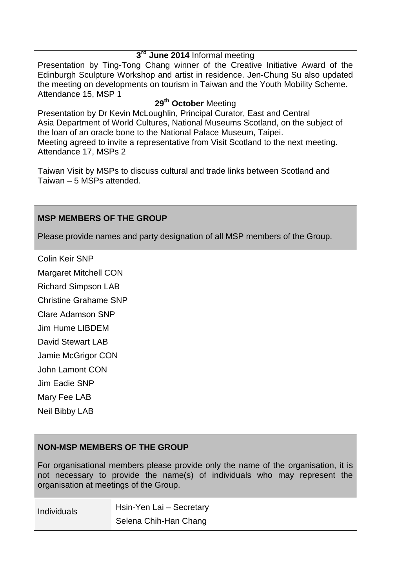#### **3 rd June 2014** Informal meeting

Presentation by Ting-Tong Chang winner of the Creative Initiative Award of the Edinburgh Sculpture Workshop and artist in residence. Jen-Chung Su also updated the meeting on developments on tourism in Taiwan and the Youth Mobility Scheme. Attendance 15, MSP 1

## **29th October** Meeting

Presentation by Dr Kevin McLoughlin, Principal Curator, East and Central Asia Department of World Cultures, National Museums Scotland, on the subject of the loan of an oracle bone to the National Palace Museum, Taipei. Meeting agreed to invite a representative from Visit Scotland to the next meeting. Attendance 17, MSPs 2

Taiwan Visit by MSPs to discuss cultural and trade links between Scotland and Taiwan – 5 MSPs attended.

#### **MSP MEMBERS OF THE GROUP**

Please provide names and party designation of all MSP members of the Group.

Colin Keir SNP

Margaret Mitchell CON

Richard Simpson LAB

Christine Grahame SNP

Clare Adamson SNP

Jim Hume LIBDEM

David Stewart LAB

Jamie McGrigor CON

John Lamont CON

Jim Eadie SNP

Mary Fee LAB

Neil Bibby LAB

#### **NON-MSP MEMBERS OF THE GROUP**

For organisational members please provide only the name of the organisation, it is not necessary to provide the name(s) of individuals who may represent the organisation at meetings of the Group.

| Individuals | Hsin-Yen Lai - Secretary |
|-------------|--------------------------|
|             | Selena Chih-Han Chang    |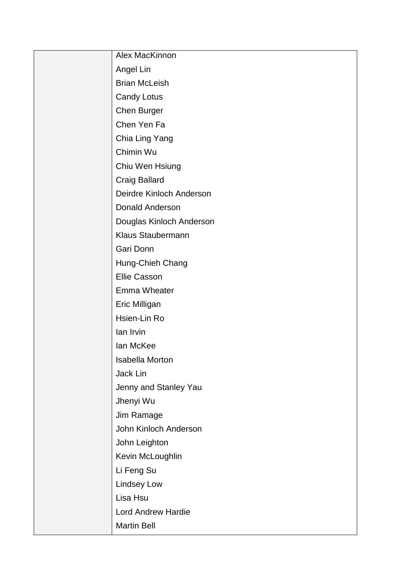| Alex MacKinnon            |
|---------------------------|
| Angel Lin                 |
| <b>Brian McLeish</b>      |
| <b>Candy Lotus</b>        |
| Chen Burger               |
| Chen Yen Fa               |
| Chia Ling Yang            |
| Chimin Wu                 |
| Chiu Wen Hsiung           |
| <b>Craig Ballard</b>      |
| Deirdre Kinloch Anderson  |
| <b>Donald Anderson</b>    |
| Douglas Kinloch Anderson  |
| Klaus Staubermann         |
| Gari Donn                 |
| Hung-Chieh Chang          |
| <b>Ellie Casson</b>       |
| <b>Emma Wheater</b>       |
| Eric Milligan             |
| Hsien-Lin Ro              |
| lan Irvin                 |
| lan McKee                 |
| <b>Isabella Morton</b>    |
| Jack Lin                  |
| Jenny and Stanley Yau     |
| Jhenyi Wu                 |
| Jim Ramage                |
| John Kinloch Anderson     |
| John Leighton             |
| Kevin McLoughlin          |
| Li Feng Su                |
| <b>Lindsey Low</b>        |
| Lisa Hsu                  |
| <b>Lord Andrew Hardie</b> |
| <b>Martin Bell</b>        |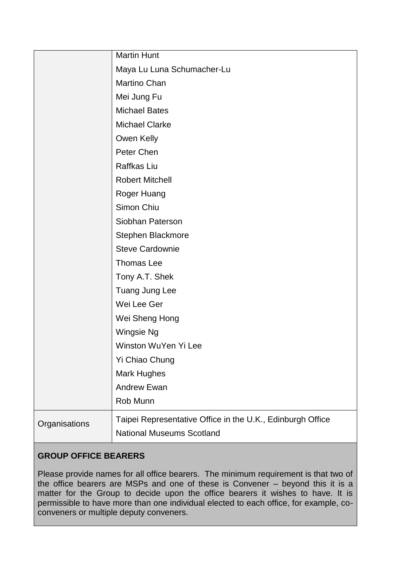|               | <b>Martin Hunt</b>                                         |
|---------------|------------------------------------------------------------|
|               | Maya Lu Luna Schumacher-Lu                                 |
|               | Martino Chan                                               |
|               | Mei Jung Fu                                                |
|               | <b>Michael Bates</b>                                       |
|               | <b>Michael Clarke</b>                                      |
|               | Owen Kelly                                                 |
|               | Peter Chen                                                 |
|               | Raffkas Liu                                                |
|               | <b>Robert Mitchell</b>                                     |
|               | Roger Huang                                                |
|               | Simon Chiu                                                 |
|               | Siobhan Paterson                                           |
|               | Stephen Blackmore                                          |
|               | <b>Steve Cardownie</b>                                     |
|               | Thomas Lee                                                 |
|               | Tony A.T. Shek                                             |
|               | Tuang Jung Lee                                             |
|               | Wei Lee Ger                                                |
|               | Wei Sheng Hong                                             |
|               | Wingsie Ng                                                 |
|               | Winston WuYen Yi Lee                                       |
|               | <b>Yi Chiao Chung</b>                                      |
|               | Mark Hughes                                                |
|               | <b>Andrew Ewan</b>                                         |
|               | Rob Munn                                                   |
| Organisations | Taipei Representative Office in the U.K., Edinburgh Office |
|               | <b>National Museums Scotland</b>                           |

## **GROUP OFFICE BEARERS**

Please provide names for all office bearers. The minimum requirement is that two of the office bearers are MSPs and one of these is Convener – beyond this it is a matter for the Group to decide upon the office bearers it wishes to have. It is permissible to have more than one individual elected to each office, for example, coconveners or multiple deputy conveners.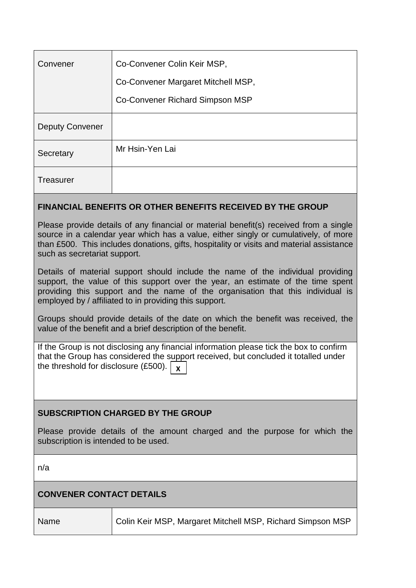| Convener               | Co-Convener Colin Keir MSP,        |
|------------------------|------------------------------------|
|                        | Co-Convener Margaret Mitchell MSP, |
|                        | Co-Convener Richard Simpson MSP    |
| <b>Deputy Convener</b> |                                    |
| Secretary              | Mr Hsin-Yen Lai                    |
| <b>Treasurer</b>       |                                    |

## **FINANCIAL BENEFITS OR OTHER BENEFITS RECEIVED BY THE GROUP**

Please provide details of any financial or material benefit(s) received from a single source in a calendar year which has a value, either singly or cumulatively, of more than £500. This includes donations, gifts, hospitality or visits and material assistance such as secretariat support.

Details of material support should include the name of the individual providing support, the value of this support over the year, an estimate of the time spent providing this support and the name of the organisation that this individual is employed by / affiliated to in providing this support.

Groups should provide details of the date on which the benefit was received, the value of the benefit and a brief description of the benefit.

If the Group is not disclosing any financial information please tick the box to confirm that the Group has considered the support received, but concluded it totalled under the threshold for disclosure (£500).  $\vert$   $\,$  **x** 

## **SUBSCRIPTION CHARGED BY THE GROUP**

Please provide details of the amount charged and the purpose for which the subscription is intended to be used.

n/a

## **CONVENER CONTACT DETAILS**

Name Colin Keir MSP, Margaret Mitchell MSP, Richard Simpson MSP